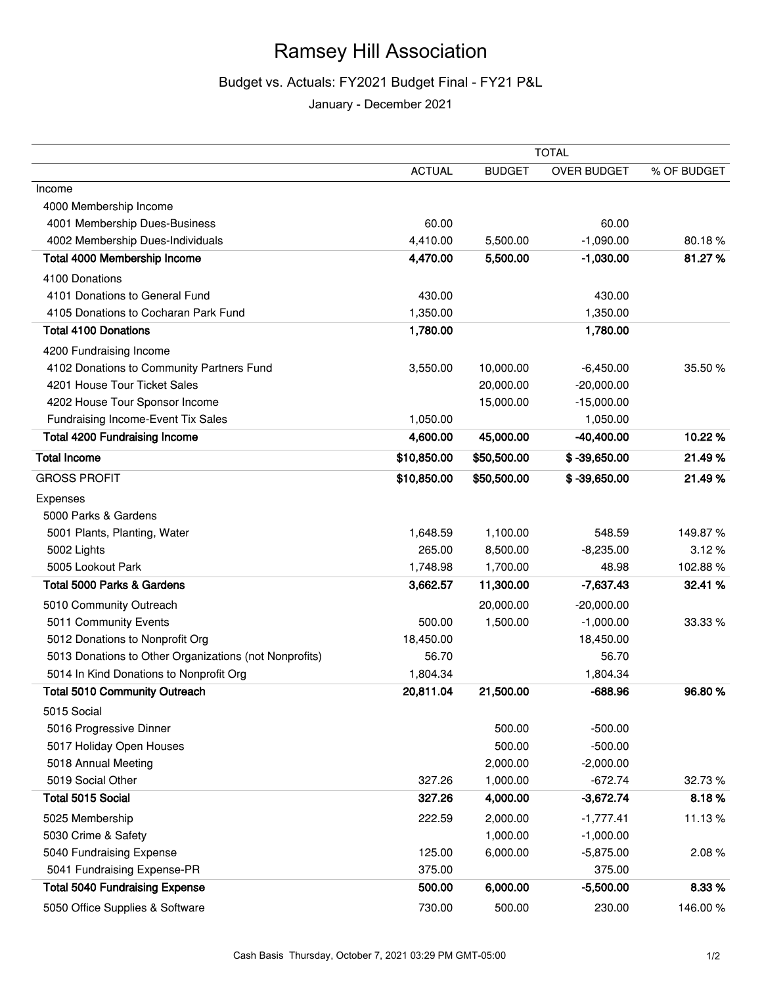## Ramsey Hill Association

## Budget vs. Actuals: FY2021 Budget Final - FY21 P&L

January - December 2021

|                                                        | <b>TOTAL</b>  |               |                    |             |
|--------------------------------------------------------|---------------|---------------|--------------------|-------------|
|                                                        | <b>ACTUAL</b> | <b>BUDGET</b> | <b>OVER BUDGET</b> | % OF BUDGET |
| Income                                                 |               |               |                    |             |
| 4000 Membership Income                                 |               |               |                    |             |
| 4001 Membership Dues-Business                          | 60.00         |               | 60.00              |             |
| 4002 Membership Dues-Individuals                       | 4,410.00      | 5,500.00      | $-1,090.00$        | 80.18%      |
| Total 4000 Membership Income                           | 4,470.00      | 5,500.00      | $-1,030.00$        | 81.27%      |
| 4100 Donations                                         |               |               |                    |             |
| 4101 Donations to General Fund                         | 430.00        |               | 430.00             |             |
| 4105 Donations to Cocharan Park Fund                   | 1,350.00      |               | 1,350.00           |             |
| <b>Total 4100 Donations</b>                            | 1,780.00      |               | 1,780.00           |             |
| 4200 Fundraising Income                                |               |               |                    |             |
| 4102 Donations to Community Partners Fund              | 3,550.00      | 10,000.00     | $-6,450.00$        | 35.50 %     |
| 4201 House Tour Ticket Sales                           |               | 20,000.00     | $-20,000.00$       |             |
| 4202 House Tour Sponsor Income                         |               | 15,000.00     | $-15,000.00$       |             |
| Fundraising Income-Event Tix Sales                     | 1,050.00      |               | 1,050.00           |             |
| <b>Total 4200 Fundraising Income</b>                   | 4,600.00      | 45,000.00     | $-40,400.00$       | 10.22%      |
| <b>Total Income</b>                                    | \$10,850.00   | \$50,500.00   | $$ -39,650.00$     | 21.49%      |
| <b>GROSS PROFIT</b>                                    | \$10,850.00   | \$50,500.00   | $$ -39,650.00$     | 21.49%      |
| Expenses                                               |               |               |                    |             |
| 5000 Parks & Gardens                                   |               |               |                    |             |
| 5001 Plants, Planting, Water                           | 1,648.59      | 1,100.00      | 548.59             | 149.87%     |
| 5002 Lights                                            | 265.00        | 8,500.00      | $-8,235.00$        | 3.12%       |
| 5005 Lookout Park                                      | 1,748.98      | 1,700.00      | 48.98              | 102.88%     |
| <b>Total 5000 Parks &amp; Gardens</b>                  | 3,662.57      | 11,300.00     | $-7,637.43$        | 32.41 %     |
| 5010 Community Outreach                                |               | 20,000.00     | $-20,000.00$       |             |
| 5011 Community Events                                  | 500.00        | 1,500.00      | $-1,000.00$        | 33.33 %     |
| 5012 Donations to Nonprofit Org                        | 18,450.00     |               | 18,450.00          |             |
| 5013 Donations to Other Organizations (not Nonprofits) | 56.70         |               | 56.70              |             |
| 5014 In Kind Donations to Nonprofit Org                | 1,804.34      |               | 1,804.34           |             |
| <b>Total 5010 Community Outreach</b>                   | 20,811.04     | 21,500.00     | $-688.96$          | 96.80 %     |
| 5015 Social                                            |               |               |                    |             |
| 5016 Progressive Dinner                                |               | 500.00        | $-500.00$          |             |
| 5017 Holiday Open Houses                               |               | 500.00        | $-500.00$          |             |
| 5018 Annual Meeting                                    |               | 2,000.00      | $-2,000.00$        |             |
| 5019 Social Other                                      | 327.26        | 1,000.00      | $-672.74$          | 32.73 %     |
| Total 5015 Social                                      | 327.26        | 4,000.00      | $-3,672.74$        | 8.18%       |
| 5025 Membership                                        | 222.59        | 2,000.00      | $-1,777.41$        | 11.13%      |
| 5030 Crime & Safety                                    |               | 1,000.00      | $-1,000.00$        |             |
| 5040 Fundraising Expense                               | 125.00        | 6,000.00      | $-5,875.00$        | 2.08%       |
| 5041 Fundraising Expense-PR                            | 375.00        |               | 375.00             |             |
| <b>Total 5040 Fundraising Expense</b>                  | 500.00        | 6,000.00      | $-5,500.00$        | 8.33%       |
| 5050 Office Supplies & Software                        | 730.00        | 500.00        | 230.00             | 146.00%     |